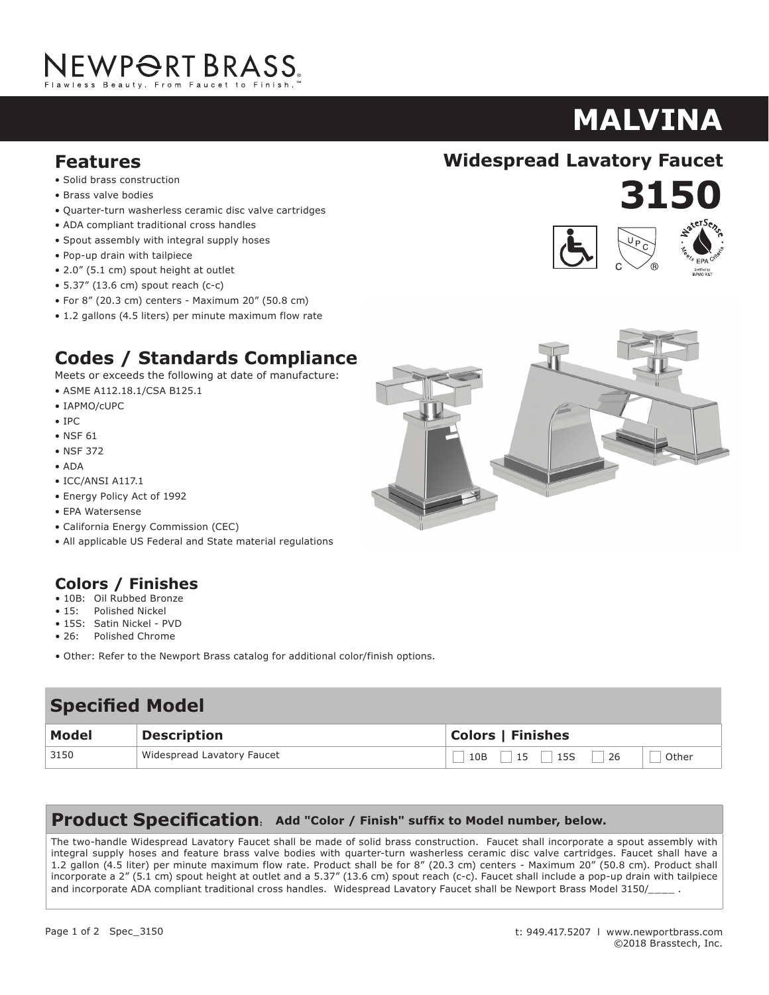# NEWPORT BRASS.

# **MALVINA**

**3150**

**920**

- **Features**<br>• Solid brass construction
- Brass valve bodies
- Quarter-turn washerless ceramic disc valve cartridges
- ADA compliant traditional cross handles
- $\bullet$  Spout assembly with integral supply hoses
- Pop-up drain with tailpiece
- 2.0" (5.1 cm) spout height at outlet
- $\bullet$  5.37" (13.6 cm) spout reach (c-c)
- For 8" (20.3 cm) centers Maximum 20" (50.8 cm)
- 1.2 gallons (4.5 liters) per minute maximum flow rate

## **Codes / Standards Compliance**

Meets or exceeds the following at date of manufacture:

- ASME A112.18.1/CSA B125.1
- IAPMO/cUPC
- IPC
- NSF 61 **IPC**<br>NGC 61
- NSF 372  $M$ ets or exceeds the following at data of manufacture:
- ADA  $\triangle$
- $\bullet$  ICC/ANSI A117.1
- Energy Policy Act of 1992
- EPA Watersense
- California Energy Commission (CEC)
- All applicable US Federal and State material regulations

### **Colors / Finishes**

- 10B: Oil Rubbed Bronze
- 15: Polished Nickel
- 15S: Satin Nickel PVD
- 26: Polished Chrome
- Other: Refer to the Newport Brass catalog for additional color/finish options.

#### **Specified Modelling Specified Model**

| <b>Model</b> | <b>Description</b>         | <b>Colors   Finishes</b>        |
|--------------|----------------------------|---------------------------------|
| 3150         | Widespread Lavatory Faucet | 26<br>15<br>15S<br>10B<br>Other |

#### **Product Specification: Add "Color / Finish" suffix to Model number, below.**

integral supply hoses and feature brass valve bodies with quarter-turn washerless ceramic disc valve cartridges. Faucet shall have a<br>1.2 galler (4.5 liter) ner minute maximum flow rate. Product shall be far 0" (20.2 cm) ce incorporate a 2" (5.1 cm) spout height at outlet and a 5.37" (13.6 cm) spout reach (c-c). Faucet shall include a pop-up drain with tailpiece  $\mid$ and incorporate ADA compliant traditional cross handles. Widespread Lavatory Faucet shall be Newport Brass Model 3150/\_\_\_\_ .  $\hfill$ The two-handle Widespread Lavatory Faucet shall be made of solid brass construction. Faucet shall incorporate a spout assembly with 1.2 gallon (4.5 liter) per minute maximum flow rate. Product shall be for 8" (20.3 cm) centers - Maximum 20" (50.8 cm). Product shall

1.5 gallon (5.7 liter) per minute maximum flow rate. Product shall be for 8" (20.3 cm) centers - Maximum 20" (50.8 cm). Product shall incorporate a 1-7/16" (3.7 cm) spout height at outlet and a 5-5/8" (c-c). Faucet shall include a pop-up drain with with  $\alpha$